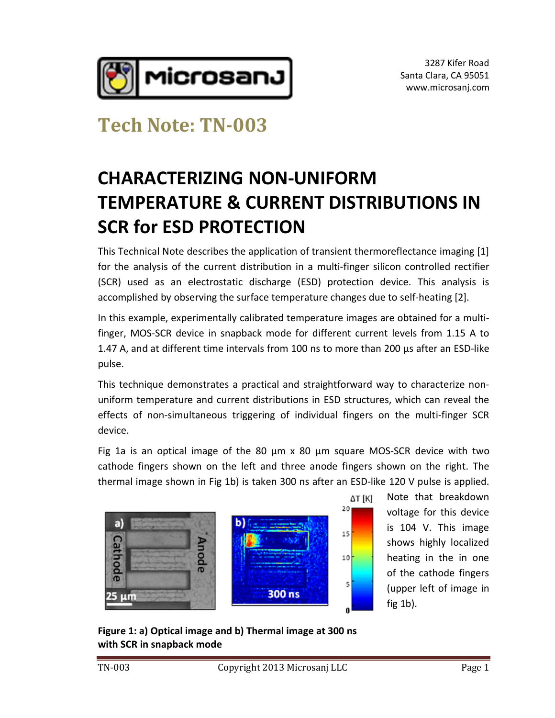

3287 Kifer Road Santa Clara, CA 95051 www.microsanj.com

### **Tech Note: TN-003**

## **CHARACTERIZING NON-UNIFORM TEMPERATURE & CURRENT DISTRIBUTIONS IN SCR for ESD PROTECTION**

This Technical Note describes the application of transient thermoreflectance imaging [1] for the analysis of the current distribution in a multi-finger silicon controlled rectifier (SCR) used as an electrostatic discharge (ESD) protection device. This analysis is accomplished by observing the surface temperature changes due to self-heating [2].

In this example, experimentally calibrated temperature images are obtained for a multifin this example, experimentally calibrated temperature images are obtained for a multi-<br>finger, MOS-SCR device in snapback mode for different current levels from 1.15 A to In this example, experimentally calibrated temperature images are obtained for a multi-<br>finger, MOS-SCR device in snapback mode for different current levels from 1.15 A to<br>1.47 A, and at different time intervals from 100 n pulse.

This technique demonstrates a practical and straightforward way to characterize non-<br>This technique demonstrates a practical and straightforward way to characterize nonrecentive<br>This technique demonstrates a practical and straightforward way to characterize non-<br>uniform temperature and current distributions in ESD structures, which can reveal the effects of non-simultaneous triggering of individual fingers on the multi-finger SCR device.

Fig 1a is an optical image of the 80  $\mu$ m x 80  $\mu$ m square MOS-SCR device with two cathode fingers shown on the left and three anode fingers shown on the right. The Fig 1a is an optical image of the 80 µm x 80 µm square MOS-SCR device with two<br>cathode fingers shown on the left and three anode fingers shown on the right. The<br>thermal image shown in Fig 1b) is taken 300 ns after an ESD-l

 $20<sub>1</sub>$ 

15

 $10$ 

5



Note that breakdown voltage for this device is 104 V. This image shows highly localized heating in the in one of the cathode fingers neating in the in one<br>of the cathode fingers<br>(upper left of image in fig 1b).

with SCR in snapback mode<br>TN-003 Copyright 2013 Microsanj LLC Page 1 **Figure 1: a) Optical image and b) Thermal image at 300 ns with SCR in snapback mode**